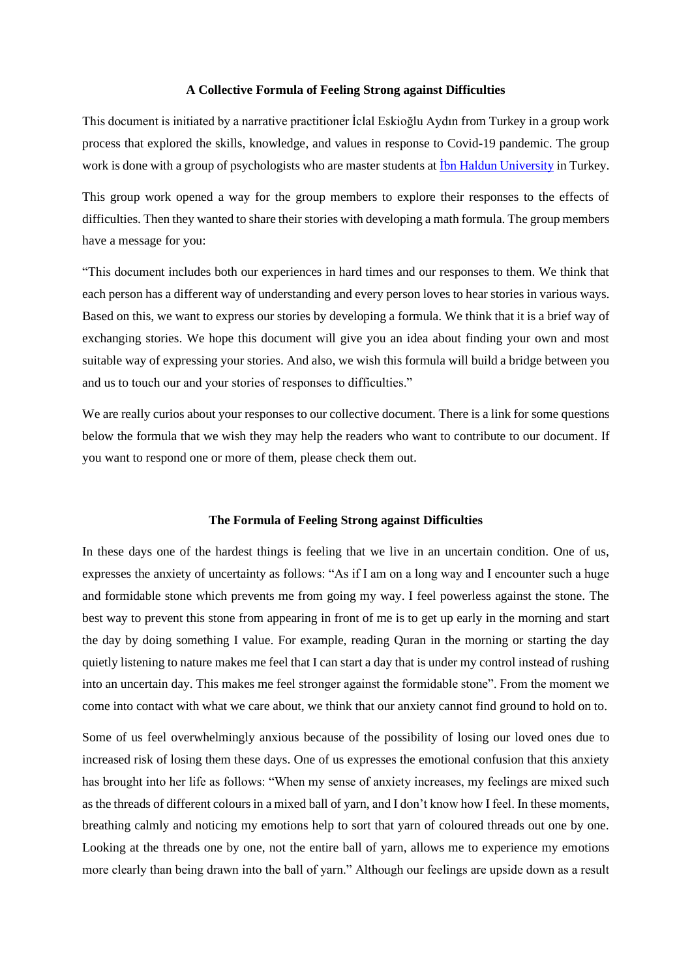## **A Collective Formula of Feeling Strong against Difficulties**

This document is initiated by a narrative practitioner İclal Eskioğlu Aydın from Turkey in a group work process that explored the skills, knowledge, and values in response to Covid-19 pandemic. The group work is done with a group of psychologists who are master students at  $\frac{\text{ibn Haldun University}}{\text{University in Turkey}}$ .

This group work opened a way for the group members to explore their responses to the effects of difficulties. Then they wanted to share their stories with developing a math formula. The group members have a message for you:

"This document includes both our experiences in hard times and our responses to them. We think that each person has a different way of understanding and every person loves to hear stories in various ways. Based on this, we want to express our stories by developing a formula. We think that it is a brief way of exchanging stories. We hope this document will give you an idea about finding your own and most suitable way of expressing your stories. And also, we wish this formula will build a bridge between you and us to touch our and your stories of responses to difficulties."

We are really curios about your responses to our collective document. There is a link for some questions below the formula that we wish they may help the readers who want to contribute to our document. If you want to respond one or more of them, please check them out.

## **The Formula of Feeling Strong against Difficulties**

In these days one of the hardest things is feeling that we live in an uncertain condition. One of us, expresses the anxiety of uncertainty as follows: "As if I am on a long way and I encounter such a huge and formidable stone which prevents me from going my way. I feel powerless against the stone. The best way to prevent this stone from appearing in front of me is to get up early in the morning and start the day by doing something I value. For example, reading Quran in the morning or starting the day quietly listening to nature makes me feel that I can start a day that is under my control instead of rushing into an uncertain day. This makes me feel stronger against the formidable stone". From the moment we come into contact with what we care about, we think that our anxiety cannot find ground to hold on to.

Some of us feel overwhelmingly anxious because of the possibility of losing our loved ones due to increased risk of losing them these days. One of us expresses the emotional confusion that this anxiety has brought into her life as follows: "When my sense of anxiety increases, my feelings are mixed such as the threads of different colours in a mixed ball of yarn, and I don't know how I feel. In these moments, breathing calmly and noticing my emotions help to sort that yarn of coloured threads out one by one. Looking at the threads one by one, not the entire ball of yarn, allows me to experience my emotions more clearly than being drawn into the ball of yarn." Although our feelings are upside down as a result